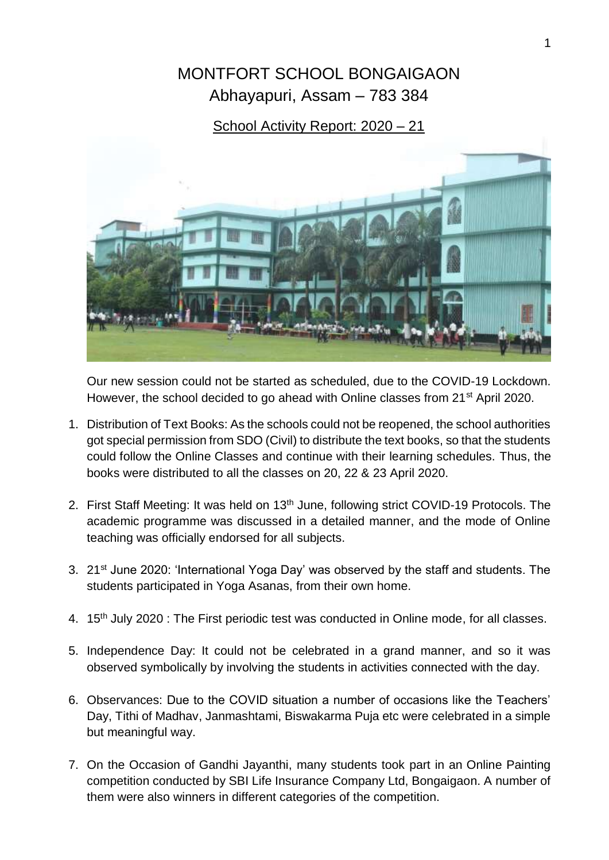## MONTFORT SCHOOL BONGAIGAON Abhayapuri, Assam – 783 384

## School Activity Report: 2020 – 21



Our new session could not be started as scheduled, due to the COVID-19 Lockdown. However, the school decided to go ahead with Online classes from 21<sup>st</sup> April 2020.

- 1. Distribution of Text Books: As the schools could not be reopened, the school authorities got special permission from SDO (Civil) to distribute the text books, so that the students could follow the Online Classes and continue with their learning schedules. Thus, the books were distributed to all the classes on 20, 22 & 23 April 2020.
- 2. First Staff Meeting: It was held on 13<sup>th</sup> June, following strict COVID-19 Protocols. The academic programme was discussed in a detailed manner, and the mode of Online teaching was officially endorsed for all subjects.
- 3. 21<sup>st</sup> June 2020: 'International Yoga Day' was observed by the staff and students. The students participated in Yoga Asanas, from their own home.
- 4. 15<sup>th</sup> July 2020 : The First periodic test was conducted in Online mode, for all classes.
- 5. Independence Day: It could not be celebrated in a grand manner, and so it was observed symbolically by involving the students in activities connected with the day.
- 6. Observances: Due to the COVID situation a number of occasions like the Teachers' Day, Tithi of Madhav, Janmashtami, Biswakarma Puja etc were celebrated in a simple but meaningful way.
- 7. On the Occasion of Gandhi Jayanthi, many students took part in an Online Painting competition conducted by SBI Life Insurance Company Ltd, Bongaigaon. A number of them were also winners in different categories of the competition.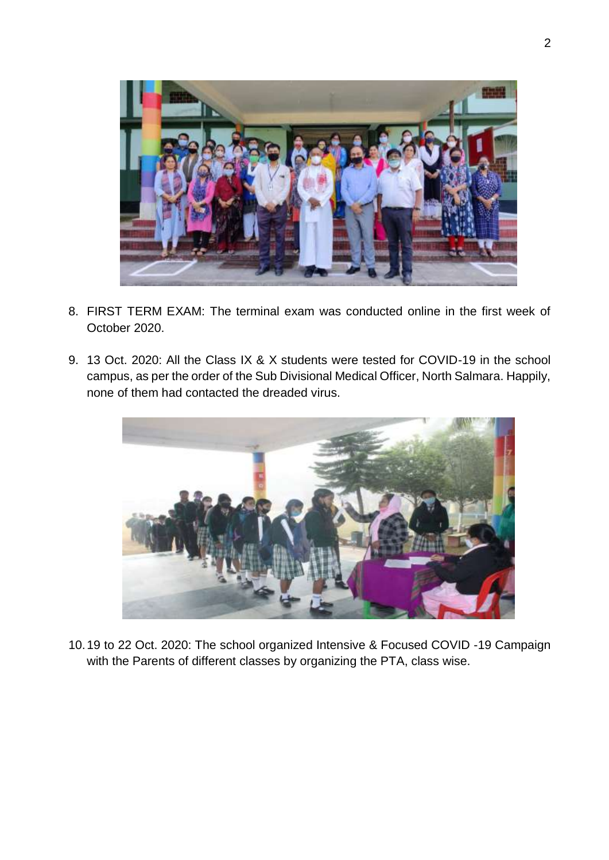

- 8. FIRST TERM EXAM: The terminal exam was conducted online in the first week of October 2020.
- 9. 13 Oct. 2020: All the Class IX & X students were tested for COVID-19 in the school campus, as per the order of the Sub Divisional Medical Officer, North Salmara. Happily, none of them had contacted the dreaded virus.



10.19 to 22 Oct. 2020: The school organized Intensive & Focused COVID -19 Campaign with the Parents of different classes by organizing the PTA, class wise.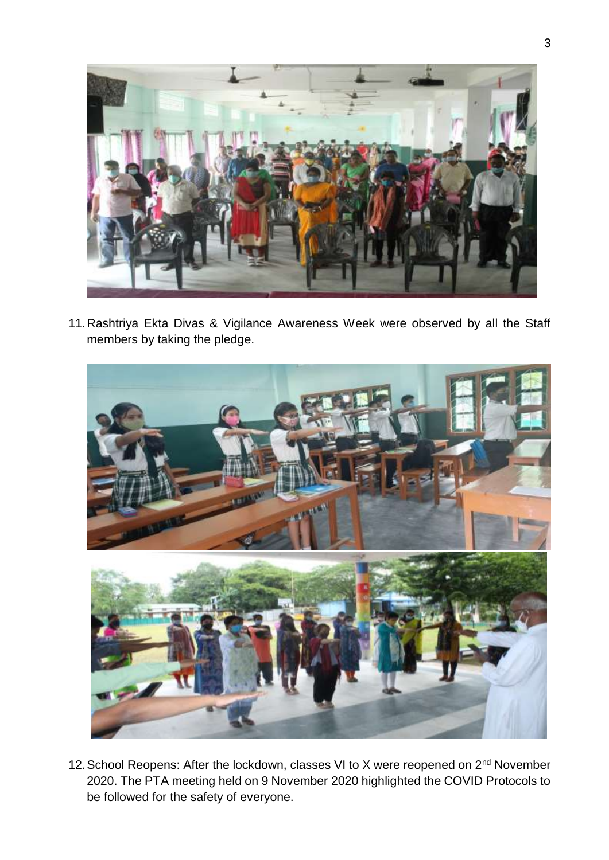

11.Rashtriya Ekta Divas & Vigilance Awareness Week were observed by all the Staff members by taking the pledge.



12. School Reopens: After the lockdown, classes VI to X were reopened on 2<sup>nd</sup> November 2020. The PTA meeting held on 9 November 2020 highlighted the COVID Protocols to be followed for the safety of everyone.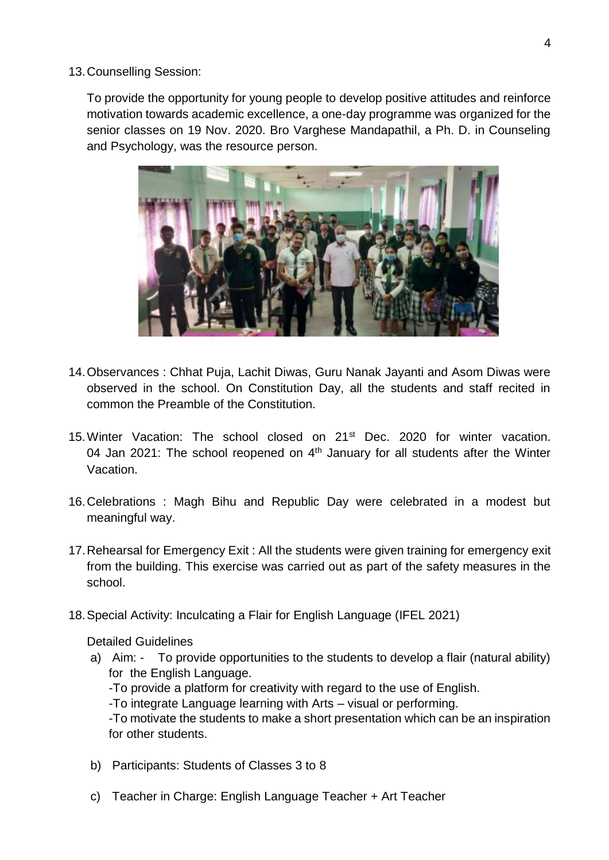13.Counselling Session:

To provide the opportunity for young people to develop positive attitudes and reinforce motivation towards academic excellence, a one-day programme was organized for the senior classes on 19 Nov. 2020. Bro Varghese Mandapathil, a Ph. D. in Counseling and Psychology, was the resource person.



- 14.Observances : Chhat Puja, Lachit Diwas, Guru Nanak Jayanti and Asom Diwas were observed in the school. On Constitution Day, all the students and staff recited in common the Preamble of the Constitution.
- 15. Winter Vacation: The school closed on 21<sup>st</sup> Dec. 2020 for winter vacation. 04 Jan 2021: The school reopened on  $4<sup>th</sup>$  January for all students after the Winter Vacation.
- 16.Celebrations : Magh Bihu and Republic Day were celebrated in a modest but meaningful way.
- 17.Rehearsal for Emergency Exit : All the students were given training for emergency exit from the building. This exercise was carried out as part of the safety measures in the school.
- 18.Special Activity: Inculcating a Flair for English Language (IFEL 2021)

Detailed Guidelines

- a) Aim: To provide opportunities to the students to develop a flair (natural ability) for the English Language. -To provide a platform for creativity with regard to the use of English. -To integrate Language learning with Arts – visual or performing. -To motivate the students to make a short presentation which can be an inspiration for other students.
- b) Participants: Students of Classes 3 to 8
- c) Teacher in Charge: English Language Teacher + Art Teacher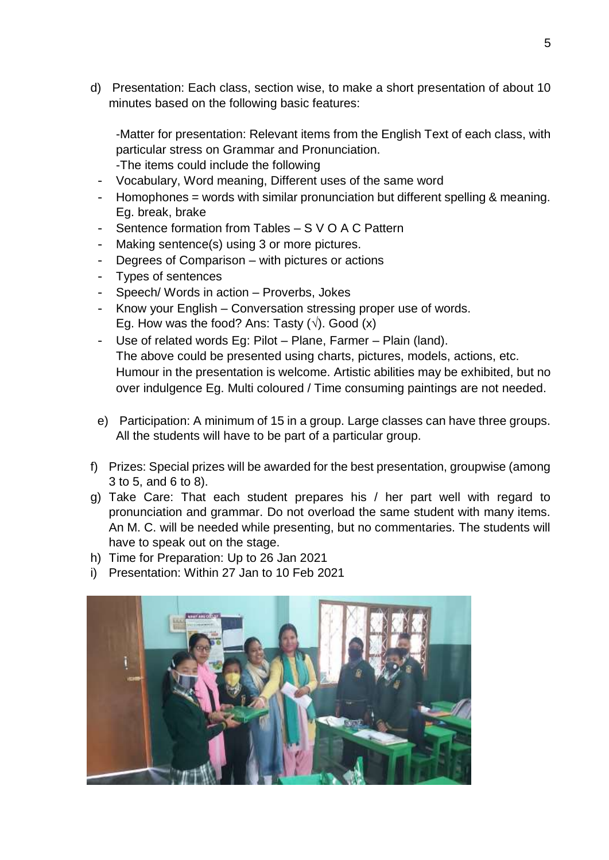d) Presentation: Each class, section wise, to make a short presentation of about 10 minutes based on the following basic features:

-Matter for presentation: Relevant items from the English Text of each class, with particular stress on Grammar and Pronunciation.

- -The items could include the following
- Vocabulary, Word meaning, Different uses of the same word
- Homophones = words with similar pronunciation but different spelling & meaning. Eg. break, brake
- Sentence formation from Tables S V O A C Pattern
- Making sentence(s) using 3 or more pictures.
- Degrees of Comparison with pictures or actions
- Types of sentences
- Speech/ Words in action Proverbs, Jokes
- Know your English Conversation stressing proper use of words. Eg. How was the food? Ans: Tasty (**√**). Good (x)
- Use of related words Eg: Pilot Plane, Farmer Plain (land). The above could be presented using charts, pictures, models, actions, etc. Humour in the presentation is welcome. Artistic abilities may be exhibited, but no over indulgence Eg. Multi coloured / Time consuming paintings are not needed.
- e) Participation: A minimum of 15 in a group. Large classes can have three groups. All the students will have to be part of a particular group.
- f) Prizes: Special prizes will be awarded for the best presentation, groupwise (among 3 to 5, and 6 to 8).
- g) Take Care: That each student prepares his / her part well with regard to pronunciation and grammar. Do not overload the same student with many items. An M. C. will be needed while presenting, but no commentaries. The students will have to speak out on the stage.
- h) Time for Preparation: Up to 26 Jan 2021
- i) Presentation: Within 27 Jan to 10 Feb 2021

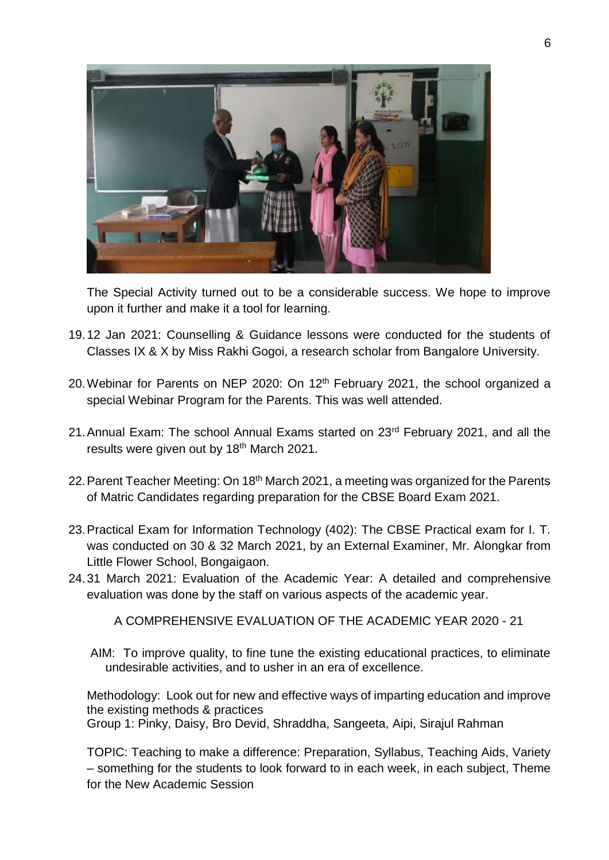

The Special Activity turned out to be a considerable success. We hope to improve upon it further and make it a tool for learning.

- 19.12 Jan 2021: Counselling & Guidance lessons were conducted for the students of Classes IX & X by Miss Rakhi Gogoi, a research scholar from Bangalore University.
- 20. Webinar for Parents on NEP 2020: On 12<sup>th</sup> February 2021, the school organized a special Webinar Program for the Parents. This was well attended.
- 21.Annual Exam: The school Annual Exams started on 23rd February 2021, and all the results were given out by 18<sup>th</sup> March 2021.
- 22. Parent Teacher Meeting: On 18<sup>th</sup> March 2021, a meeting was organized for the Parents of Matric Candidates regarding preparation for the CBSE Board Exam 2021.
- 23.Practical Exam for Information Technology (402): The CBSE Practical exam for I. T. was conducted on 30 & 32 March 2021, by an External Examiner, Mr. Alongkar from Little Flower School, Bongaigaon.
- 24.31 March 2021: Evaluation of the Academic Year: A detailed and comprehensive evaluation was done by the staff on various aspects of the academic year.

A COMPREHENSIVE EVALUATION OF THE ACADEMIC YEAR 2020 - 21

AIM: To improve quality, to fine tune the existing educational practices, to eliminate undesirable activities, and to usher in an era of excellence.

Methodology: Look out for new and effective ways of imparting education and improve the existing methods & practices Group 1: Pinky, Daisy, Bro Devid, Shraddha, Sangeeta, Aipi, Sirajul Rahman

TOPIC: Teaching to make a difference: Preparation, Syllabus, Teaching Aids, Variety – something for the students to look forward to in each week, in each subject, Theme for the New Academic Session